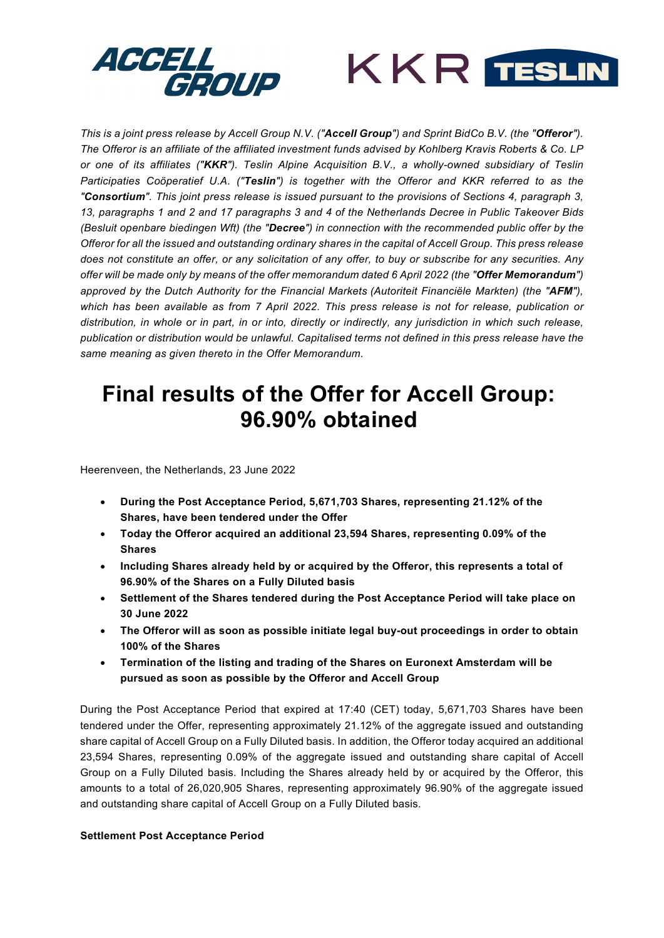



*This is a joint press release by Accell Group N.V. ("Accell Group") and Sprint BidCo B.V. (the "Offeror"). The Offeror is an affiliate of the affiliated investment funds advised by Kohlberg Kravis Roberts & Co. LP or one of its affiliates ("KKR"). Teslin Alpine Acquisition B.V., a wholly-owned subsidiary of Teslin Participaties Coöperatief U.A. ("Teslin") is together with the Offeror and KKR referred to as the "Consortium". This joint press release is issued pursuant to the provisions of Sections 4, paragraph 3, 13, paragraphs 1 and 2 and 17 paragraphs 3 and 4 of the Netherlands Decree in Public Takeover Bids (Besluit openbare biedingen Wft) (the "Decree") in connection with the recommended public offer by the Offeror for all the issued and outstanding ordinary shares in the capital of Accell Group. This press release does not constitute an offer, or any solicitation of any offer, to buy or subscribe for any securities. Any offer will be made only by means of the offer memorandum dated 6 April 2022 (the "Offer Memorandum") approved by the Dutch Authority for the Financial Markets (Autoriteit Financiële Markten) (the "AFM"), which has been available as from 7 April 2022. This press release is not for release, publication or distribution, in whole or in part, in or into, directly or indirectly, any jurisdiction in which such release, publication or distribution would be unlawful. Capitalised terms not defined in this press release have the same meaning as given thereto in the Offer Memorandum.*

# **Final results of the Offer for Accell Group: 96.90% obtained**

Heerenveen, the Netherlands, 23 June 2022

- **During the Post Acceptance Period, 5,671,703 Shares, representing 21.12% of the Shares, have been tendered under the Offer**
- **Today the Offeror acquired an additional 23,594 Shares, representing 0.09% of the Shares**
- **Including Shares already held by or acquired by the Offeror, this represents a total of 96.90% of the Shares on a Fully Diluted basis**
- **Settlement of the Shares tendered during the Post Acceptance Period will take place on 30 June 2022**
- **The Offeror will as soon as possible initiate legal buy-out proceedings in order to obtain 100% of the Shares**
- **Termination of the listing and trading of the Shares on Euronext Amsterdam will be pursued as soon as possible by the Offeror and Accell Group**

During the Post Acceptance Period that expired at 17:40 (CET) today, 5,671,703 Shares have been tendered under the Offer, representing approximately 21.12% of the aggregate issued and outstanding share capital of Accell Group on a Fully Diluted basis. In addition, the Offeror today acquired an additional 23,594 Shares, representing 0.09% of the aggregate issued and outstanding share capital of Accell Group on a Fully Diluted basis. Including the Shares already held by or acquired by the Offeror, this amounts to a total of 26,020,905 Shares, representing approximately 96.90% of the aggregate issued and outstanding share capital of Accell Group on a Fully Diluted basis.

## **Settlement Post Acceptance Period**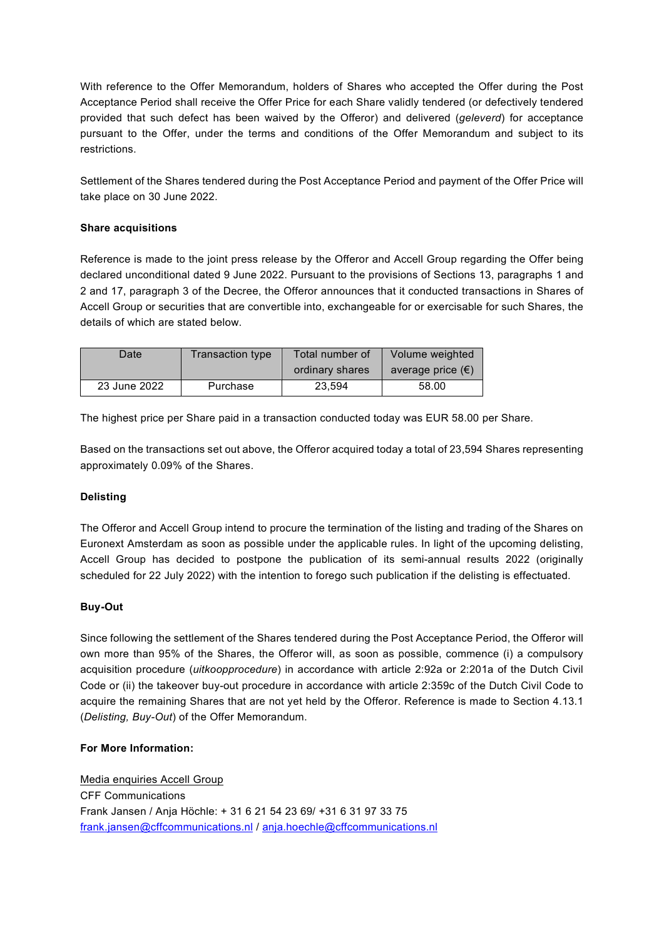With reference to the Offer Memorandum, holders of Shares who accepted the Offer during the Post Acceptance Period shall receive the Offer Price for each Share validly tendered (or defectively tendered provided that such defect has been waived by the Offeror) and delivered (*geleverd*) for acceptance pursuant to the Offer, under the terms and conditions of the Offer Memorandum and subject to its restrictions.

Settlement of the Shares tendered during the Post Acceptance Period and payment of the Offer Price will take place on 30 June 2022.

## **Share acquisitions**

Reference is made to the joint press release by the Offeror and Accell Group regarding the Offer being declared unconditional dated 9 June 2022. Pursuant to the provisions of Sections 13, paragraphs 1 and 2 and 17, paragraph 3 of the Decree, the Offeror announces that it conducted transactions in Shares of Accell Group or securities that are convertible into, exchangeable for or exercisable for such Shares, the details of which are stated below.

| Date         | Transaction type | Total number of | Volume weighted            |
|--------------|------------------|-----------------|----------------------------|
|              |                  | ordinary shares | average price $(\epsilon)$ |
| 23 June 2022 | Purchase         | 23.594          | 58.00                      |

The highest price per Share paid in a transaction conducted today was EUR 58.00 per Share.

Based on the transactions set out above, the Offeror acquired today a total of 23,594 Shares representing approximately 0.09% of the Shares.

## **Delisting**

The Offeror and Accell Group intend to procure the termination of the listing and trading of the Shares on Euronext Amsterdam as soon as possible under the applicable rules. In light of the upcoming delisting, Accell Group has decided to postpone the publication of its semi-annual results 2022 (originally scheduled for 22 July 2022) with the intention to forego such publication if the delisting is effectuated.

## **Buy-Out**

Since following the settlement of the Shares tendered during the Post Acceptance Period, the Offeror will own more than 95% of the Shares, the Offeror will, as soon as possible, commence (i) a compulsory acquisition procedure (*uitkoopprocedure*) in accordance with article 2:92a or 2:201a of the Dutch Civil Code or (ii) the takeover buy-out procedure in accordance with article 2:359c of the Dutch Civil Code to acquire the remaining Shares that are not yet held by the Offeror. Reference is made to Section 4.13.1 (*Delisting, Buy-Out*) of the Offer Memorandum.

## **For More Information:**

Media enquiries Accell Group CFF Communications Frank Jansen / Anja Höchle: + 31 6 21 54 23 69/ +31 6 31 97 33 75 [frank.jansen@cffcommunications.nl](mailto:Frank.jansen@cffcommunications.nl) / [anja.hoechle@cffcommunications.nl](mailto:anja.hoechle@cffcommunications.nl)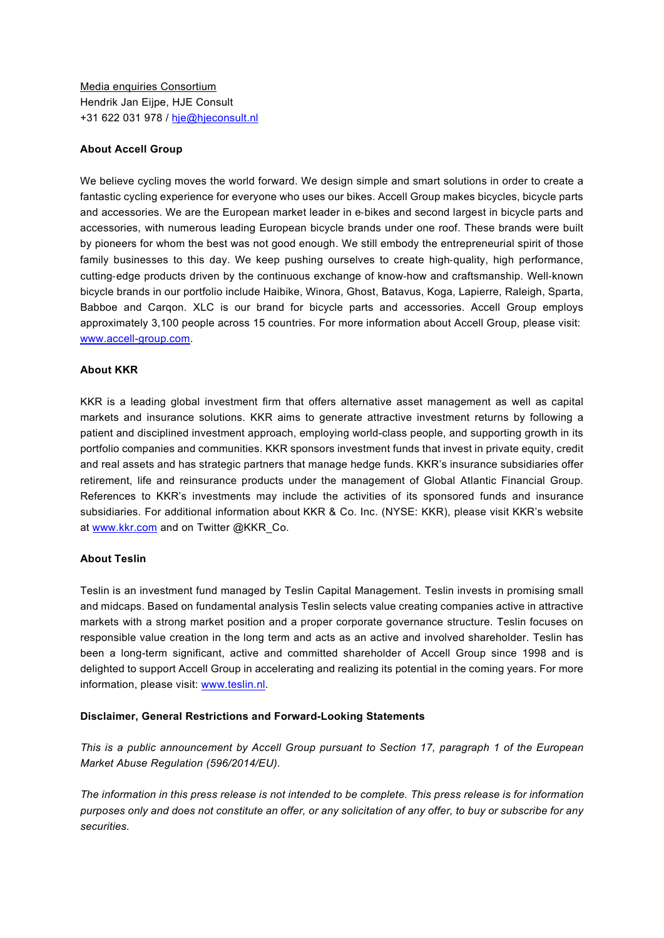Media enquiries Consortium Hendrik Jan Eijpe, HJE Consult +31 622 031 978 / [hje@hjeconsult.nl](mailto:hje@hjeconsult.nl)

#### **About Accell Group**

We believe cycling moves the world forward. We design simple and smart solutions in order to create a fantastic cycling experience for everyone who uses our bikes. Accell Group makes bicycles, bicycle parts and accessories. We are the European market leader in e‐bikes and second largest in bicycle parts and accessories, with numerous leading European bicycle brands under one roof. These brands were built by pioneers for whom the best was not good enough. We still embody the entrepreneurial spirit of those family businesses to this day. We keep pushing ourselves to create high-quality, high performance, cutting‐edge products driven by the continuous exchange of know‐how and craftsmanship. Well‐known bicycle brands in our portfolio include Haibike, Winora, Ghost, Batavus, Koga, Lapierre, Raleigh, Sparta, Babboe and Carqon. XLC is our brand for bicycle parts and accessories. Accell Group employs approximately 3,100 people across 15 countries. For more information about Accell Group, please visit: [www.accell-group.com.](http://www.accell-group.com/)

#### **About KKR**

KKR is a leading global investment firm that offers alternative asset management as well as capital markets and insurance solutions. KKR aims to generate attractive investment returns by following a patient and disciplined investment approach, employing world-class people, and supporting growth in its portfolio companies and communities. KKR sponsors investment funds that invest in private equity, credit and real assets and has strategic partners that manage hedge funds. KKR's insurance subsidiaries offer retirement, life and reinsurance products under the management of Global Atlantic Financial Group. References to KKR's investments may include the activities of its sponsored funds and insurance subsidiaries. For additional information about KKR & Co. Inc. (NYSE: KKR), please visit KKR's website at [www.kkr.com](https://cts.businesswire.com/ct/CT?id=smartlink&url=http%3A%2F%2Fwww.kkr.com&esheet=52556806&newsitemid=20220103005354&lan=en-US&anchor=www.kkr.com&index=1&md5=f2801c6375742f0f9aa380c73a980104) and on Twitter @KKR\_Co.

#### **About Teslin**

Teslin is an investment fund managed by Teslin Capital Management. Teslin invests in promising small and midcaps. Based on fundamental analysis Teslin selects value creating companies active in attractive markets with a strong market position and a proper corporate governance structure. Teslin focuses on responsible value creation in the long term and acts as an active and involved shareholder. Teslin has been a long-term significant, active and committed shareholder of Accell Group since 1998 and is delighted to support Accell Group in accelerating and realizing its potential in the coming years. For more information, please visit: [www.teslin.nl.](http://www.teslin.nl/)

## **Disclaimer, General Restrictions and Forward-Looking Statements**

*This is a public announcement by Accell Group pursuant to Section 17, paragraph 1 of the European Market Abuse Regulation (596/2014/EU).* 

*The information in this press release is not intended to be complete. This press release is for information purposes only and does not constitute an offer, or any solicitation of any offer, to buy or subscribe for any securities.*